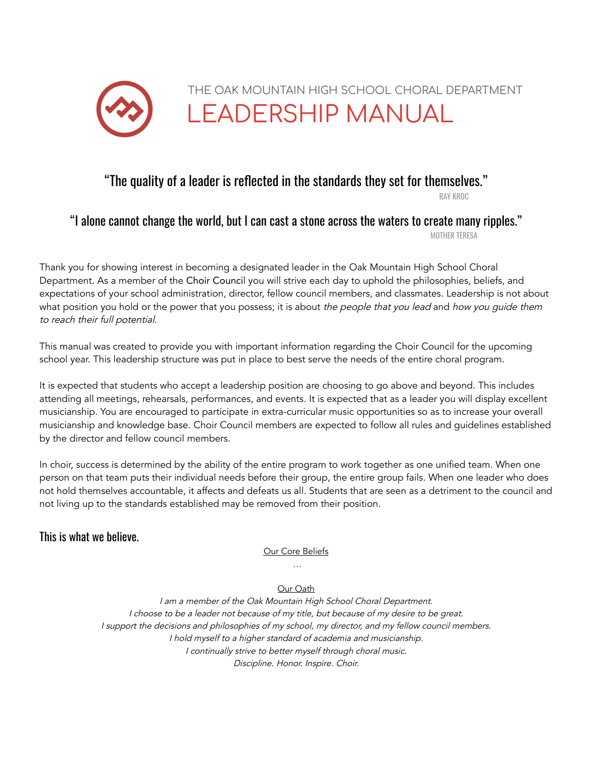

# "The quality of a leader is reflected in the standards they set for themselves."

RAY KROC

# "I alone cannot change the world, but I can cast a stone across the waters to create many ripples."

MOTHER TERESA

Thank you for showing interest in becoming a designated leader in the Oak Mountain High School Choral Department. As a member of the Choir Council you will strive each day to uphold the philosophies, beliefs, and expectations of your school administration, director, fellow council members, and classmates. Leadership is not about what position you hold or the power that you possess; it is about the people that you lead and how you guide them to reach their full potential.

This manual was created to provide you with important information regarding the Choir Council for the upcoming school year. This leadership structure was put in place to best serve the needs of the entire choral program.

It is expected that students who accept a leadership position are choosing to go above and beyond. This includes attending all meetings, rehearsals, performances, and events. It is expected that as a leader you will display excellent musicianship. You are encouraged to participate in extra-curricular music opportunities so as to increase your overall musicianship and knowledge base. Choir Council members are expected to follow all rules and guidelines established by the director and fellow council members.

In choir, success is determined by the ability of the entire program to work together as one unified team. When one person on that team puts their individual needs before their group, the entire group fails. When one leader who does not hold themselves accountable, it affects and defeats us all. Students that are seen as a detriment to the council and not living up to the standards established may be removed from their position.

### This is what we believe.

Our Core Beliefs …

#### Our Oath

<sup>I</sup> am <sup>a</sup> member of the Oak Mountain High School Choral Department. I choose to be <sup>a</sup> leader not because of my title, but because of my desire to be great. <sup>I</sup> support the decisions and philosophies of my school, my director, and my fellow council members. <sup>I</sup> hold myself to <sup>a</sup> higher standard of academia and musicianship. I continually strive to better myself through choral music. Discipline. Honor. Inspire. Choir.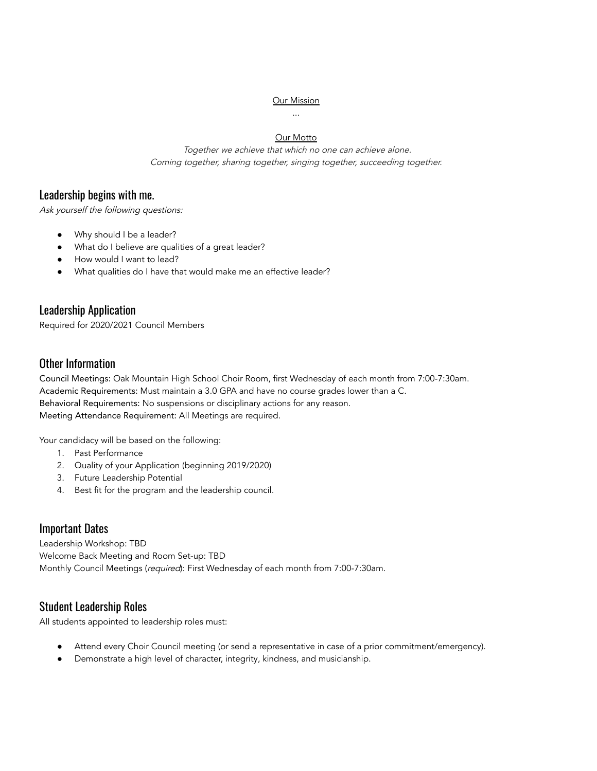#### **Our Mission**

#### ...

#### **Our Motto**

Together we achieve that which no one can achieve alone. Coming together, sharing together, singing together, succeeding together.

#### Leadership begins with me.

Ask yourself the following questions:

- Why should I be a leader?
- What do I believe are qualities of a great leader?
- How would I want to lead?
- What qualities do I have that would make me an effective leader?

#### Leadership Application

Required for 2020/2021 Council Members

#### Other Information

Council Meetings: Oak Mountain High School Choir Room, first Wednesday of each month from 7:00-7:30am. Academic Requirements: Must maintain a 3.0 GPA and have no course grades lower than a C. Behavioral Requirements: No suspensions or disciplinary actions for any reason. Meeting Attendance Requirement: All Meetings are required.

Your candidacy will be based on the following:

- 1. Past Performance
- 2. Quality of your Application (beginning 2019/2020)
- 3. Future Leadership Potential
- 4. Best fit for the program and the leadership council.

### Important Dates

Leadership Workshop: TBD Welcome Back Meeting and Room Set-up: TBD Monthly Council Meetings (required): First Wednesday of each month from 7:00-7:30am.

### Student Leadership Roles

All students appointed to leadership roles must:

- Attend every Choir Council meeting (or send a representative in case of a prior commitment/emergency).
- Demonstrate a high level of character, integrity, kindness, and musicianship.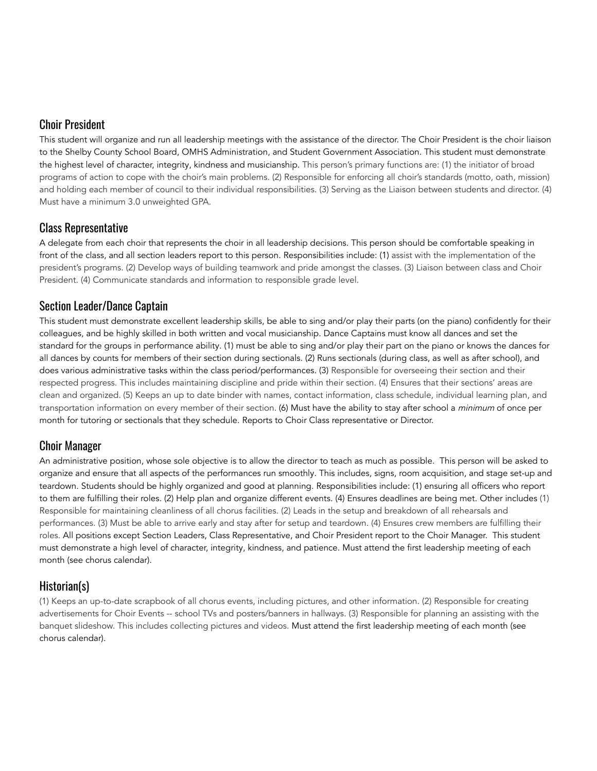### Choir President

This student will organize and run all leadership meetings with the assistance of the director. The Choir President is the choir liaison to the Shelby County School Board, OMHS Administration, and Student Government Association. This student must demonstrate the highest level of character, integrity, kindness and musicianship. This person's primary functions are: (1) the initiator of broad programs of action to cope with the choir's main problems. (2) Responsible for enforcing all choir's standards (motto, oath, mission) and holding each member of council to their individual responsibilities. (3) Serving as the Liaison between students and director. (4) Must have a minimum 3.0 unweighted GPA.

### Class Representative

A delegate from each choir that represents the choir in all leadership decisions. This person should be comfortable speaking in front of the class, and all section leaders report to this person. Responsibilities include: (1) assist with the implementation of the president's programs. (2) Develop ways of building teamwork and pride amongst the classes. (3) Liaison between class and Choir President. (4) Communicate standards and information to responsible grade level.

### Section Leader/Dance Captain

This student must demonstrate excellent leadership skills, be able to sing and/or play their parts (on the piano) confidently for their colleagues, and be highly skilled in both written and vocal musicianship. Dance Captains must know all dances and set the standard for the groups in performance ability. (1) must be able to sing and/or play their part on the piano or knows the dances for all dances by counts for members of their section during sectionals. (2) Runs sectionals (during class, as well as after school), and does various administrative tasks within the class period/performances. (3) Responsible for overseeing their section and their respected progress. This includes maintaining discipline and pride within their section. (4) Ensures that their sections' areas are clean and organized. (5) Keeps an up to date binder with names, contact information, class schedule, individual learning plan, and transportation information on every member of their section. (6) Must have the ability to stay after school a minimum of once per month for tutoring or sectionals that they schedule. Reports to Choir Class representative or Director.

### Choir Manager

An administrative position, whose sole objective is to allow the director to teach as much as possible. This person will be asked to organize and ensure that all aspects of the performances run smoothly. This includes, signs, room acquisition, and stage set-up and teardown. Students should be highly organized and good at planning. Responsibilities include: (1) ensuring all officers who report to them are fulfilling their roles. (2) Help plan and organize different events. (4) Ensures deadlines are being met. Other includes (1) Responsible for maintaining cleanliness of all chorus facilities. (2) Leads in the setup and breakdown of all rehearsals and performances. (3) Must be able to arrive early and stay after for setup and teardown. (4) Ensures crew members are fulfilling their roles. All positions except Section Leaders, Class Representative, and Choir President report to the Choir Manager. This student must demonstrate a high level of character, integrity, kindness, and patience. Must attend the first leadership meeting of each month (see chorus calendar).

### Historian(s)

(1) Keeps an up-to-date scrapbook of all chorus events, including pictures, and other information. (2) Responsible for creating advertisements for Choir Events -- school TVs and posters/banners in hallways. (3) Responsible for planning an assisting with the banquet slideshow. This includes collecting pictures and videos. Must attend the first leadership meeting of each month (see chorus calendar).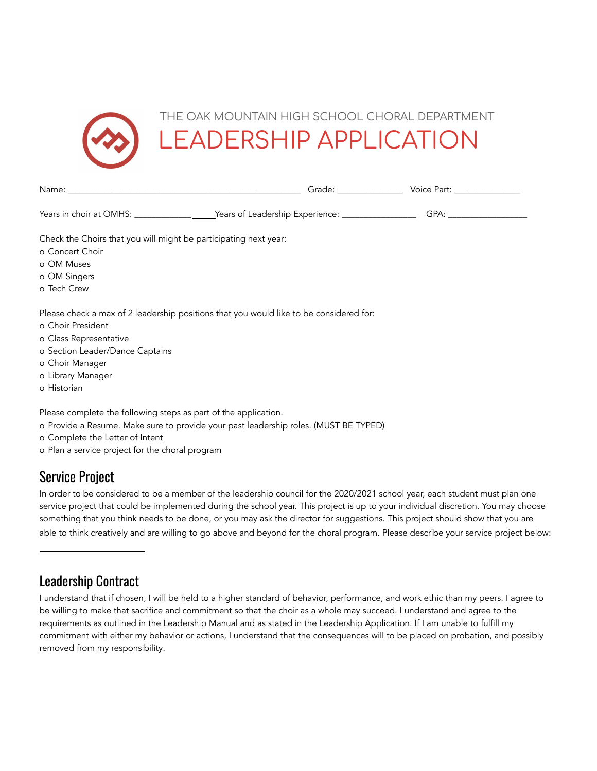

|                                                                                                                                                                                                                                 | Grade: Voice Part:                                                                                                                                                                                                             |
|---------------------------------------------------------------------------------------------------------------------------------------------------------------------------------------------------------------------------------|--------------------------------------------------------------------------------------------------------------------------------------------------------------------------------------------------------------------------------|
| Years in choir at OMHS: _______________________Years of Leadership Experience: _____________________                                                                                                                            | GPA: the contract of the contract of the contract of the contract of the contract of the contract of the contract of the contract of the contract of the contract of the contract of the contract of the contract of the contr |
| Check the Choirs that you will might be participating next year:<br>o Concert Choir<br>o OM Muses                                                                                                                               |                                                                                                                                                                                                                                |
| o OM Singers<br>o Tech Crew                                                                                                                                                                                                     |                                                                                                                                                                                                                                |
| Please check a max of 2 leadership positions that you would like to be considered for:<br>o Choir President<br>o Class Representative<br>o Section Leader/Dance Captains<br>o Choir Manager<br>o Library Manager<br>o Historian |                                                                                                                                                                                                                                |

Please complete the following steps as part of the application.

- o Provide a Resume. Make sure to provide your past leadership roles. (MUST BE TYPED)
- o Complete the Letter of Intent
- o Plan a service project for the choral program

## Service Project

In order to be considered to be a member of the leadership council for the 2020/2021 school year, each student must plan one service project that could be implemented during the school year. This project is up to your individual discretion. You may choose something that you think needs to be done, or you may ask the director for suggestions. This project should show that you are able to think creatively and are willing to go above and beyond for the choral program. Please describe your service project below:

## Leadership Contract

I understand that if chosen, I will be held to a higher standard of behavior, performance, and work ethic than my peers. I agree to be willing to make that sacrifice and commitment so that the choir as a whole may succeed. I understand and agree to the requirements as outlined in the Leadership Manual and as stated in the Leadership Application. If I am unable to fulfill my commitment with either my behavior or actions, I understand that the consequences will to be placed on probation, and possibly removed from my responsibility.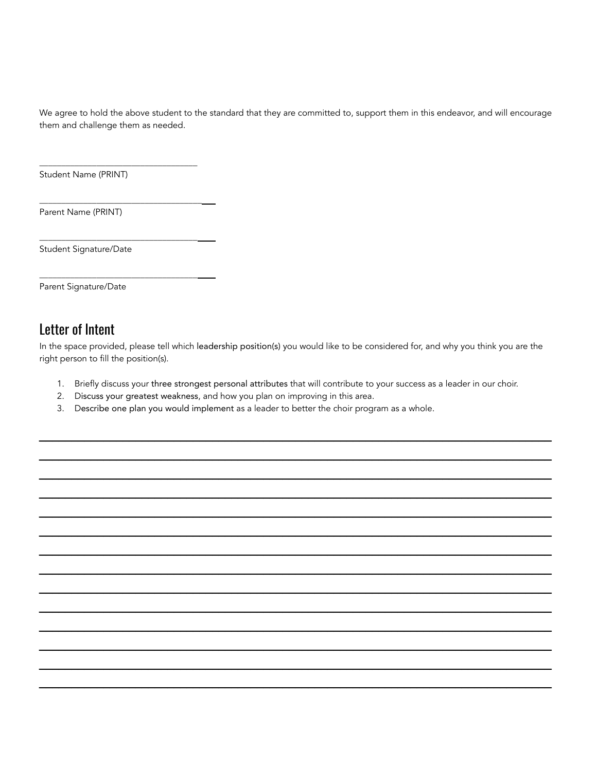We agree to hold the above student to the standard that they are committed to, support them in this endeavor, and will encourage them and challenge them as needed.

Student Name (PRINT)

\_\_\_\_\_\_\_\_\_\_\_\_\_\_\_\_\_\_\_\_\_\_\_\_\_\_\_\_\_\_\_\_\_\_\_\_

\_\_\_\_\_\_\_\_\_\_\_\_\_\_\_\_\_\_\_\_\_\_\_\_\_\_\_\_\_\_\_\_\_\_\_\_\_

\_\_\_\_\_\_\_\_\_\_\_\_\_\_\_\_\_\_\_\_\_\_\_\_\_\_\_\_\_\_\_\_\_\_\_\_

\_\_\_\_\_\_\_\_\_\_\_\_\_\_\_\_\_\_\_\_\_\_\_\_\_\_\_\_\_\_\_\_\_\_\_\_

Parent Name (PRINT)

Student Signature/Date

Parent Signature/Date

# Letter of Intent

In the space provided, please tell which leadership position(s) you would like to be considered for, and why you think you are the right person to fill the position(s).

1. Briefly discuss your three strongest personal attributes that will contribute to your success as a leader in our choir.

\_\_\_\_\_\_\_\_\_\_\_\_\_\_\_\_\_\_\_\_\_\_\_\_\_\_\_\_\_\_\_\_\_\_\_\_\_\_\_\_\_\_\_\_\_\_\_\_\_\_\_\_\_\_\_\_\_\_\_\_\_\_\_\_\_\_\_\_\_\_\_\_\_\_\_\_\_\_\_\_ \_\_\_\_\_\_\_\_\_\_\_\_\_\_\_\_\_\_\_\_\_\_\_\_\_\_\_\_\_\_\_\_\_\_\_\_\_\_\_\_\_\_\_\_\_\_\_\_\_\_\_\_\_\_\_\_\_\_\_\_\_\_\_\_\_\_\_\_\_\_\_\_\_\_\_\_\_\_\_\_ \_\_\_\_\_\_\_\_\_\_\_\_\_\_\_\_\_\_\_\_\_\_\_\_\_\_\_\_\_\_\_\_\_\_\_\_\_\_\_\_\_\_\_\_\_\_\_\_\_\_\_\_\_\_\_\_\_\_\_\_\_\_\_\_\_\_\_\_\_\_\_\_\_\_\_\_\_\_\_\_ \_\_\_\_\_\_\_\_\_\_\_\_\_\_\_\_\_\_\_\_\_\_\_\_\_\_\_\_\_\_\_\_\_\_\_\_\_\_\_\_\_\_\_\_\_\_\_\_\_\_\_\_\_\_\_\_\_\_\_\_\_\_\_\_\_\_\_\_\_\_\_\_\_\_\_\_\_\_\_\_ \_\_\_\_\_\_\_\_\_\_\_\_\_\_\_\_\_\_\_\_\_\_\_\_\_\_\_\_\_\_\_\_\_\_\_\_\_\_\_\_\_\_\_\_\_\_\_\_\_\_\_\_\_\_\_\_\_\_\_\_\_\_\_\_\_\_\_\_\_\_\_\_\_\_\_\_\_\_\_\_ \_\_\_\_\_\_\_\_\_\_\_\_\_\_\_\_\_\_\_\_\_\_\_\_\_\_\_\_\_\_\_\_\_\_\_\_\_\_\_\_\_\_\_\_\_\_\_\_\_\_\_\_\_\_\_\_\_\_\_\_\_\_\_\_\_\_\_\_\_\_\_\_\_\_\_\_\_\_\_\_ \_\_\_\_\_\_\_\_\_\_\_\_\_\_\_\_\_\_\_\_\_\_\_\_\_\_\_\_\_\_\_\_\_\_\_\_\_\_\_\_\_\_\_\_\_\_\_\_\_\_\_\_\_\_\_\_\_\_\_\_\_\_\_\_\_\_\_\_\_\_\_\_\_\_\_\_\_\_\_\_ \_\_\_\_\_\_\_\_\_\_\_\_\_\_\_\_\_\_\_\_\_\_\_\_\_\_\_\_\_\_\_\_\_\_\_\_\_\_\_\_\_\_\_\_\_\_\_\_\_\_\_\_\_\_\_\_\_\_\_\_\_\_\_\_\_\_\_\_\_\_\_\_\_\_\_\_\_\_\_\_ \_\_\_\_\_\_\_\_\_\_\_\_\_\_\_\_\_\_\_\_\_\_\_\_\_\_\_\_\_\_\_\_\_\_\_\_\_\_\_\_\_\_\_\_\_\_\_\_\_\_\_\_\_\_\_\_\_\_\_\_\_\_\_\_\_\_\_\_\_\_\_\_\_\_\_\_\_\_\_\_ \_\_\_\_\_\_\_\_\_\_\_\_\_\_\_\_\_\_\_\_\_\_\_\_\_\_\_\_\_\_\_\_\_\_\_\_\_\_\_\_\_\_\_\_\_\_\_\_\_\_\_\_\_\_\_\_\_\_\_\_\_\_\_\_\_\_\_\_\_\_\_\_\_\_\_\_\_\_\_\_ \_\_\_\_\_\_\_\_\_\_\_\_\_\_\_\_\_\_\_\_\_\_\_\_\_\_\_\_\_\_\_\_\_\_\_\_\_\_\_\_\_\_\_\_\_\_\_\_\_\_\_\_\_\_\_\_\_\_\_\_\_\_\_\_\_\_\_\_\_\_\_\_\_\_\_\_\_\_\_\_ \_\_\_\_\_\_\_\_\_\_\_\_\_\_\_\_\_\_\_\_\_\_\_\_\_\_\_\_\_\_\_\_\_\_\_\_\_\_\_\_\_\_\_\_\_\_\_\_\_\_\_\_\_\_\_\_\_\_\_\_\_\_\_\_\_\_\_\_\_\_\_\_\_\_\_\_\_\_\_\_ \_\_\_\_\_\_\_\_\_\_\_\_\_\_\_\_\_\_\_\_\_\_\_\_\_\_\_\_\_\_\_\_\_\_\_\_\_\_\_\_\_\_\_\_\_\_\_\_\_\_\_\_\_\_\_\_\_\_\_\_\_\_\_\_\_\_\_\_\_\_\_\_\_\_\_\_\_\_\_\_ \_\_\_\_\_\_\_\_\_\_\_\_\_\_\_\_\_\_\_\_\_\_\_\_\_\_\_\_\_\_\_\_\_\_\_\_\_\_\_\_\_\_\_\_\_\_\_\_\_\_\_\_\_\_\_\_\_\_\_\_\_\_\_\_\_\_\_\_\_\_\_\_\_\_\_\_\_\_\_\_

- 2. Discuss your greatest weakness, and how you plan on improving in this area.
- 3. Describe one plan you would implement as a leader to better the choir program as a whole.